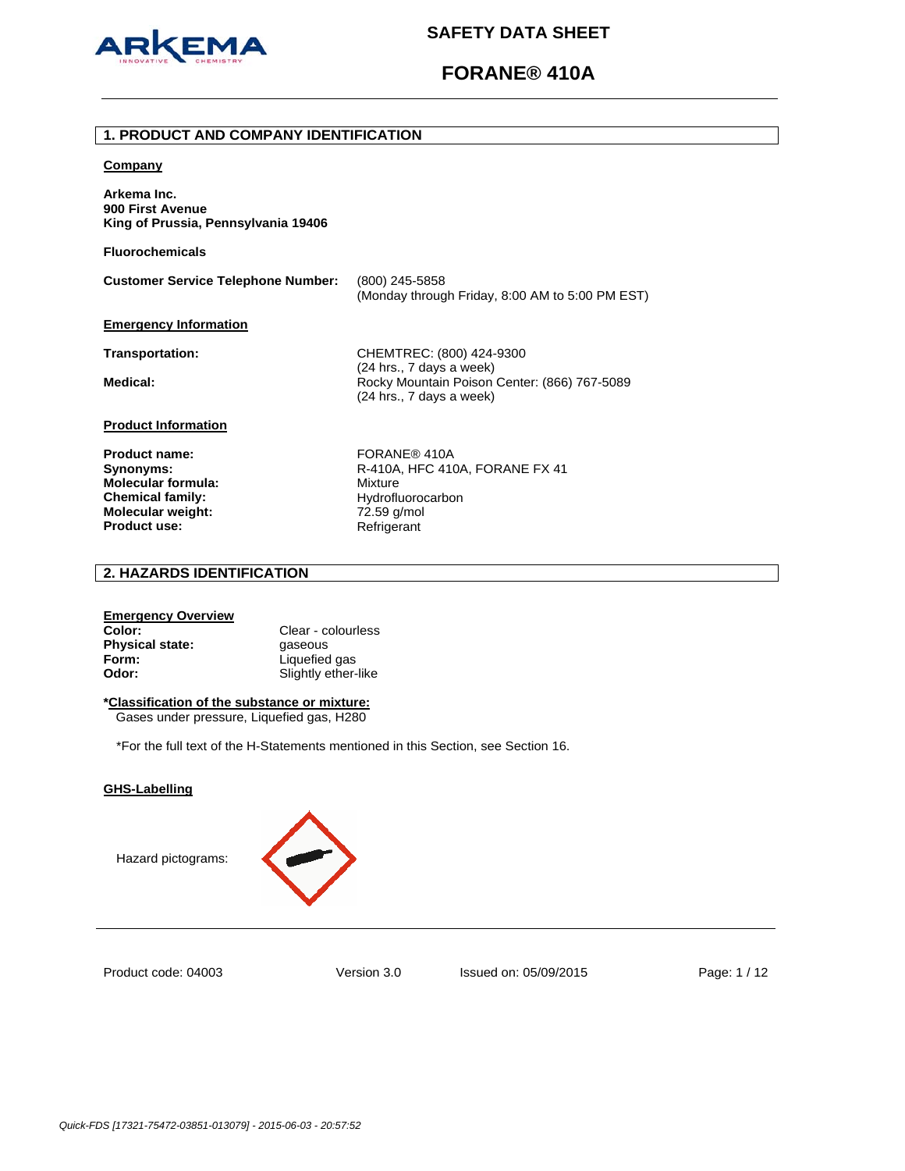

# **FORANE® 410A**

### **1. PRODUCT AND COMPANY IDENTIFICATION**

### **Company**

**Arkema Inc. 900 First Avenue King of Prussia, Pennsylvania 19406** 

**Fluorochemicals**

**Customer Service Telephone Number:** (800) 245-5858 (Monday through Friday, 8:00 AM to 5:00 PM EST)

### **Emergency Information**

**Transportation:** CHEMTREC: (800) 424-9300 (24 hrs., 7 days a week) Medical: **Medical: Rocky Mountain Poison Center: (866) 767-5089** (24 hrs., 7 days a week)

### **Product Information**

**Product name:** FORANE® 410A **Molecular formula:** Mixture **Chemical family:** Hydrofluorocarbon **Molecular weight:** 72.59 g/mol<br> **Product use:** Refrigerant **Product use:** 

**Synonyms: R-410A, HFC 410A, FORANE FX 41** 

# **2. HAZARDS IDENTIFICATION**

### **Emergency Overview**

**Color:** Clear - colourless **Physical state: gaseous Form:** Liquefied gas **Odor:** Slightly ether-like

## **\*Classification of the substance or mixture:**

Gases under pressure, Liquefied gas, H280

\*For the full text of the H-Statements mentioned in this Section, see Section 16.

### **GHS-Labelling**

Hazard pictograms:



Product code: 04003

Version 3.0 Issued on: 05/09/2015 Page: 1 / 12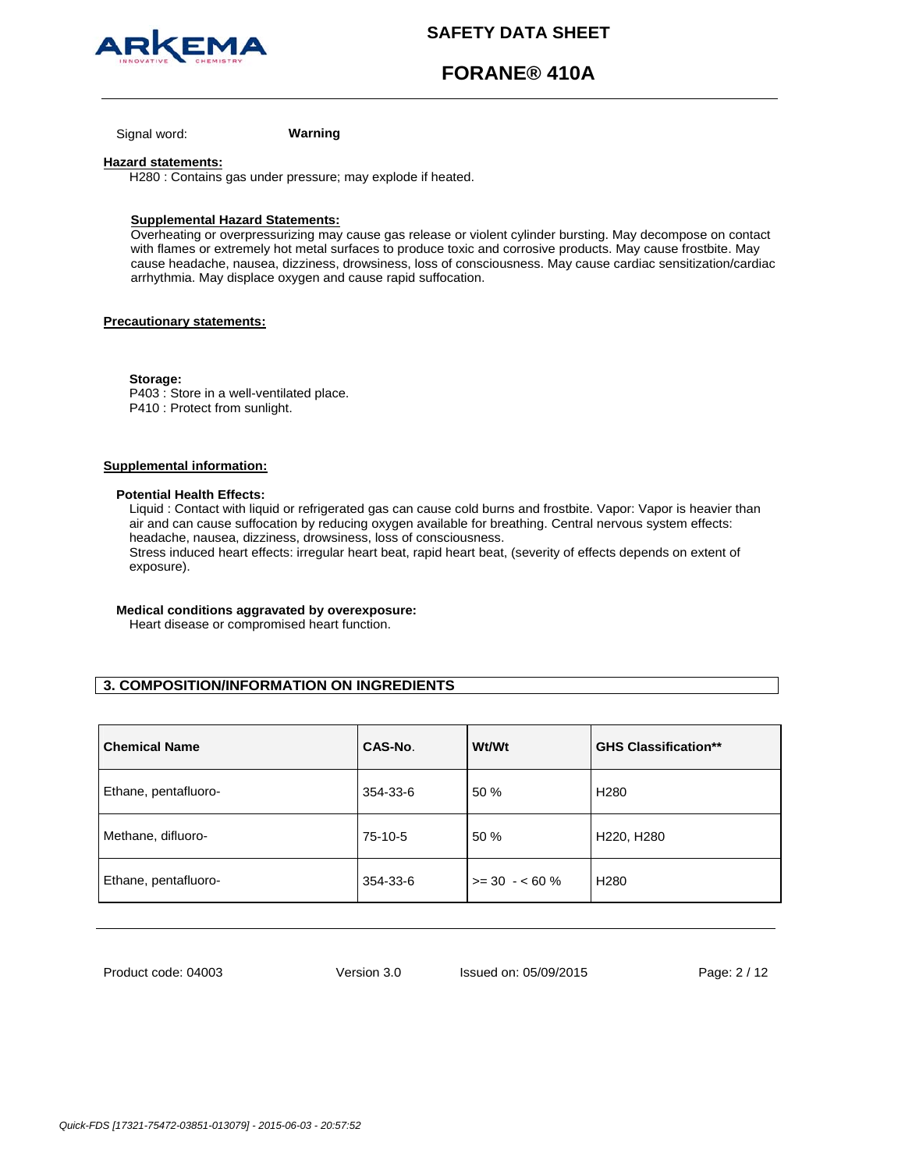

# **FORANE® 410A**

Signal word: **Warning**

### **Hazard statements:**

H280 : Contains gas under pressure; may explode if heated.

### **Supplemental Hazard Statements:**

Overheating or overpressurizing may cause gas release or violent cylinder bursting. May decompose on contact with flames or extremely hot metal surfaces to produce toxic and corrosive products. May cause frostbite. May cause headache, nausea, dizziness, drowsiness, loss of consciousness. May cause cardiac sensitization/cardiac arrhythmia. May displace oxygen and cause rapid suffocation.

### **Precautionary statements:**

**Storage:**  P403 : Store in a well-ventilated place. P410 : Protect from sunlight.

### **Supplemental information:**

### **Potential Health Effects:**

Liquid : Contact with liquid or refrigerated gas can cause cold burns and frostbite. Vapor: Vapor is heavier than air and can cause suffocation by reducing oxygen available for breathing. Central nervous system effects: headache, nausea, dizziness, drowsiness, loss of consciousness.

Stress induced heart effects: irregular heart beat, rapid heart beat, (severity of effects depends on extent of exposure).

## **Medical conditions aggravated by overexposure:**

Heart disease or compromised heart function.

# **3. COMPOSITION/INFORMATION ON INGREDIENTS**

| <b>Chemical Name</b> | CAS-No.  | <b>Wt/Wt</b>    | <b>GHS Classification**</b> |
|----------------------|----------|-----------------|-----------------------------|
| Ethane, pentafluoro- | 354-33-6 | 50 %            | H <sub>280</sub>            |
| Methane, difluoro-   | 75-10-5  | 50 %            | H220, H280                  |
| Ethane, pentafluoro- | 354-33-6 | $>= 30 - 60 \%$ | H <sub>280</sub>            |

Product code: 04003

Version 3.0 Issued on: 05/09/2015 Page: 2 / 12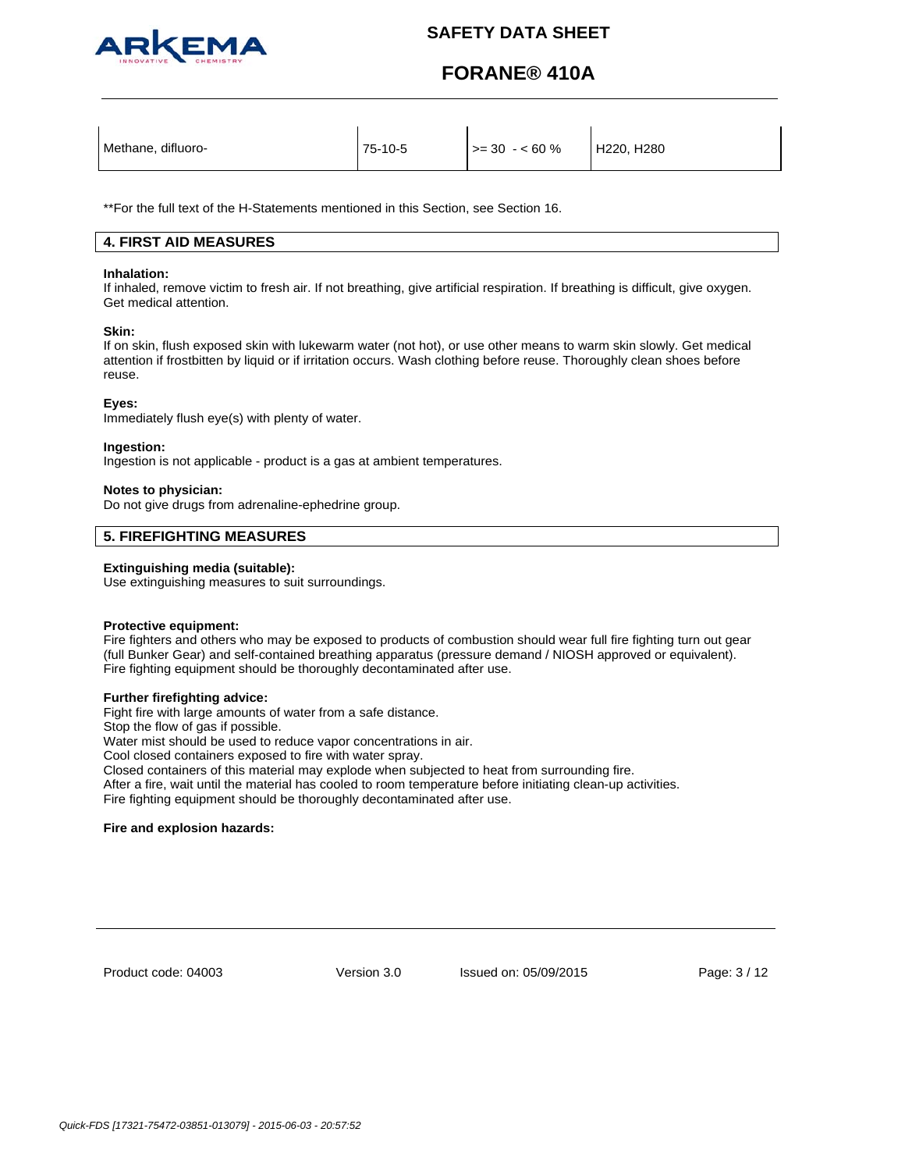

# **FORANE® 410A**

| Methane, difluoro- | 75-10-5 | $>= 30 - 60 \%$ | H220, H280 |
|--------------------|---------|-----------------|------------|
|                    |         |                 |            |

\*\*For the full text of the H-Statements mentioned in this Section, see Section 16.

# **4. FIRST AID MEASURES**

### **Inhalation:**

If inhaled, remove victim to fresh air. If not breathing, give artificial respiration. If breathing is difficult, give oxygen. Get medical attention.

### **Skin:**

If on skin, flush exposed skin with lukewarm water (not hot), or use other means to warm skin slowly. Get medical attention if frostbitten by liquid or if irritation occurs. Wash clothing before reuse. Thoroughly clean shoes before reuse.

### **Eyes:**

Immediately flush eye(s) with plenty of water.

### **Ingestion:**

Ingestion is not applicable - product is a gas at ambient temperatures.

### **Notes to physician:**

Do not give drugs from adrenaline-ephedrine group.

## **5. FIREFIGHTING MEASURES**

### **Extinguishing media (suitable):**

Use extinguishing measures to suit surroundings.

### **Protective equipment:**

Fire fighters and others who may be exposed to products of combustion should wear full fire fighting turn out gear (full Bunker Gear) and self-contained breathing apparatus (pressure demand / NIOSH approved or equivalent). Fire fighting equipment should be thoroughly decontaminated after use.

### **Further firefighting advice:**

Fight fire with large amounts of water from a safe distance.

Stop the flow of gas if possible.

Water mist should be used to reduce vapor concentrations in air.

Cool closed containers exposed to fire with water spray.

Closed containers of this material may explode when subjected to heat from surrounding fire.

After a fire, wait until the material has cooled to room temperature before initiating clean-up activities. Fire fighting equipment should be thoroughly decontaminated after use.

### **Fire and explosion hazards:**

Product code: 04003

Version 3.0 Issued on: 05/09/2015 Page: 3 / 12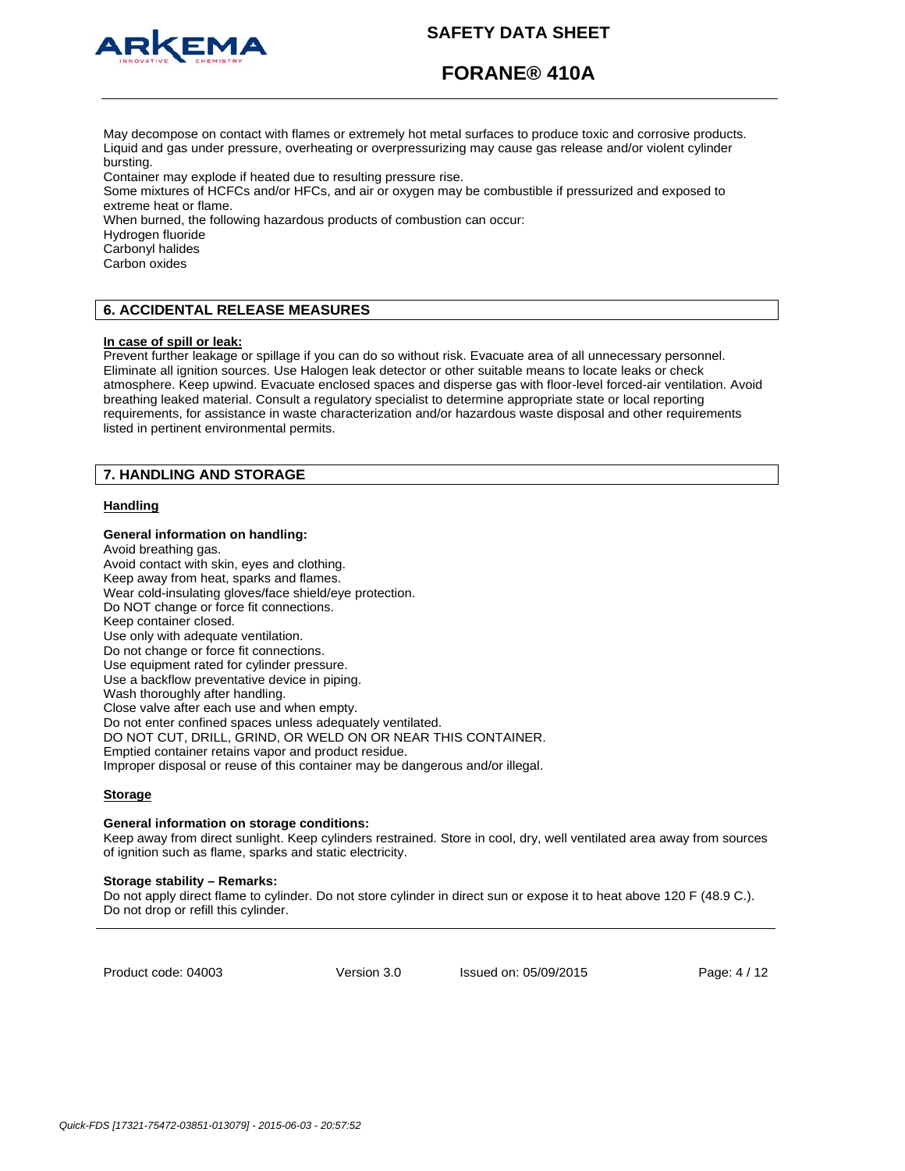

# **FORANE® 410A**

May decompose on contact with flames or extremely hot metal surfaces to produce toxic and corrosive products. Liquid and gas under pressure, overheating or overpressurizing may cause gas release and/or violent cylinder bursting.

Container may explode if heated due to resulting pressure rise.

Some mixtures of HCFCs and/or HFCs, and air or oxygen may be combustible if pressurized and exposed to extreme heat or flame.

When burned, the following hazardous products of combustion can occur:

Hydrogen fluoride

Carbonyl halides

Carbon oxides

# **6. ACCIDENTAL RELEASE MEASURES**

### **In case of spill or leak:**

Prevent further leakage or spillage if you can do so without risk. Evacuate area of all unnecessary personnel. Eliminate all ignition sources. Use Halogen leak detector or other suitable means to locate leaks or check atmosphere. Keep upwind. Evacuate enclosed spaces and disperse gas with floor-level forced-air ventilation. Avoid breathing leaked material. Consult a regulatory specialist to determine appropriate state or local reporting requirements, for assistance in waste characterization and/or hazardous waste disposal and other requirements listed in pertinent environmental permits.

## **7. HANDLING AND STORAGE**

## **Handling**

### **General information on handling:**

Avoid breathing gas. Avoid contact with skin, eyes and clothing. Keep away from heat, sparks and flames. Wear cold-insulating gloves/face shield/eye protection. Do NOT change or force fit connections. Keep container closed. Use only with adequate ventilation. Do not change or force fit connections. Use equipment rated for cylinder pressure. Use a backflow preventative device in piping. Wash thoroughly after handling. Close valve after each use and when empty. Do not enter confined spaces unless adequately ventilated. DO NOT CUT, DRILL, GRIND, OR WELD ON OR NEAR THIS CONTAINER. Emptied container retains vapor and product residue. Improper disposal or reuse of this container may be dangerous and/or illegal.

### **Storage**

#### **General information on storage conditions:**

Keep away from direct sunlight. Keep cylinders restrained. Store in cool, dry, well ventilated area away from sources of ignition such as flame, sparks and static electricity.

#### **Storage stability – Remarks:**

Do not apply direct flame to cylinder. Do not store cylinder in direct sun or expose it to heat above 120 F (48.9 C.). Do not drop or refill this cylinder.

Product code: 04003

Version 3.0 Issued on: 05/09/2015 Page: 4 / 12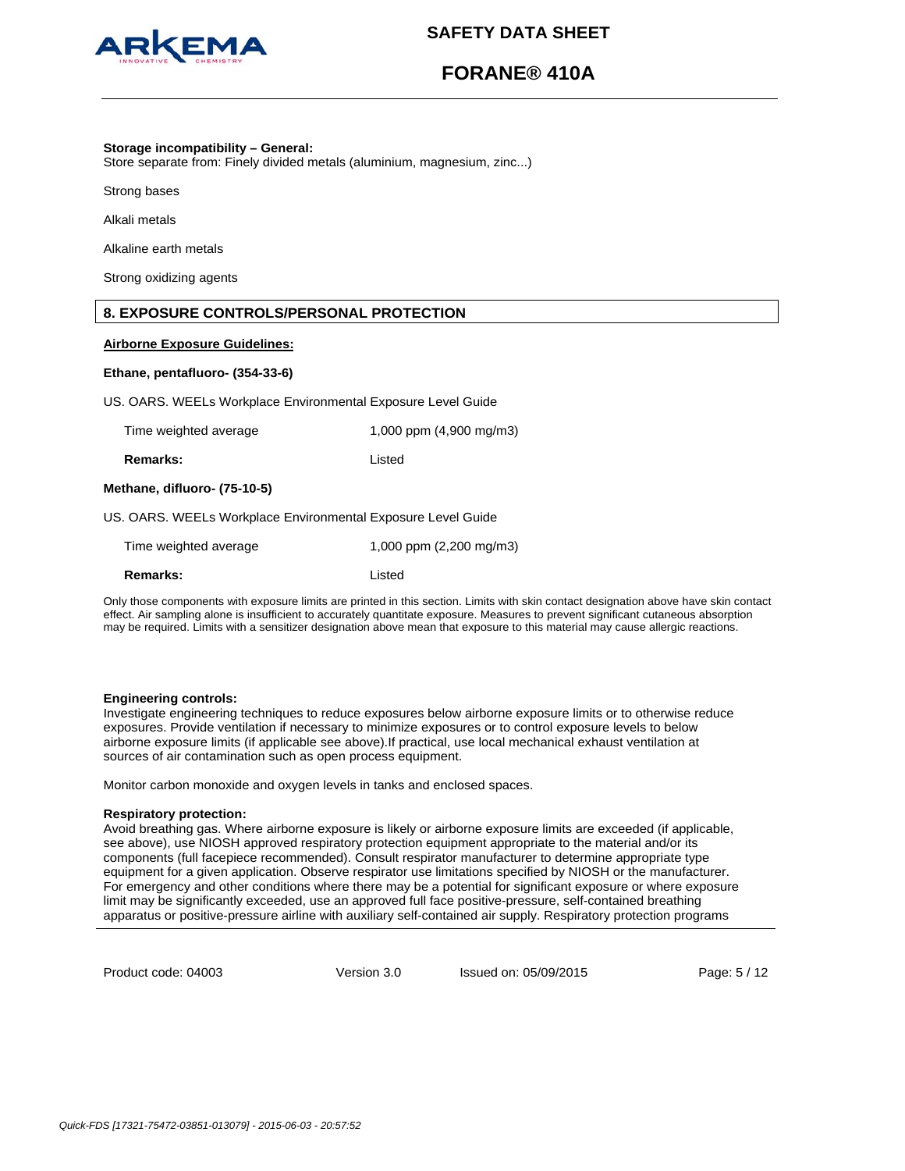

# **FORANE® 410A**

### **Storage incompatibility – General:**

Store separate from: Finely divided metals (aluminium, magnesium, zinc...)

Strong bases

Alkali metals

Alkaline earth metals

Strong oxidizing agents

## **8. EXPOSURE CONTROLS/PERSONAL PROTECTION**

### **Airborne Exposure Guidelines:**

### **Ethane, pentafluoro- (354-33-6)**

US. OARS. WEELs Workplace Environmental Exposure Level Guide

| Time weighted average | 1,000 ppm (4,900 mg/m3) |
|-----------------------|-------------------------|
|                       |                         |

**Remarks:** Listed

### **Methane, difluoro- (75-10-5)**

US. OARS. WEELs Workplace Environmental Exposure Level Guide

| Time weighted average | 1,000 ppm $(2,200 \text{ mg/m3})$ |
|-----------------------|-----------------------------------|
| Remarks:              | Listed                            |

Only those components with exposure limits are printed in this section. Limits with skin contact designation above have skin contact effect. Air sampling alone is insufficient to accurately quantitate exposure. Measures to prevent significant cutaneous absorption may be required. Limits with a sensitizer designation above mean that exposure to this material may cause allergic reactions.

### **Engineering controls:**

Investigate engineering techniques to reduce exposures below airborne exposure limits or to otherwise reduce exposures. Provide ventilation if necessary to minimize exposures or to control exposure levels to below airborne exposure limits (if applicable see above).If practical, use local mechanical exhaust ventilation at sources of air contamination such as open process equipment.

Monitor carbon monoxide and oxygen levels in tanks and enclosed spaces.

## **Respiratory protection:**

Avoid breathing gas. Where airborne exposure is likely or airborne exposure limits are exceeded (if applicable, see above), use NIOSH approved respiratory protection equipment appropriate to the material and/or its components (full facepiece recommended). Consult respirator manufacturer to determine appropriate type equipment for a given application. Observe respirator use limitations specified by NIOSH or the manufacturer. For emergency and other conditions where there may be a potential for significant exposure or where exposure limit may be significantly exceeded, use an approved full face positive-pressure, self-contained breathing apparatus or positive-pressure airline with auxiliary self-contained air supply. Respiratory protection programs

Product code: 04003

Version 3.0 Issued on: 05/09/2015 Page: 5 / 12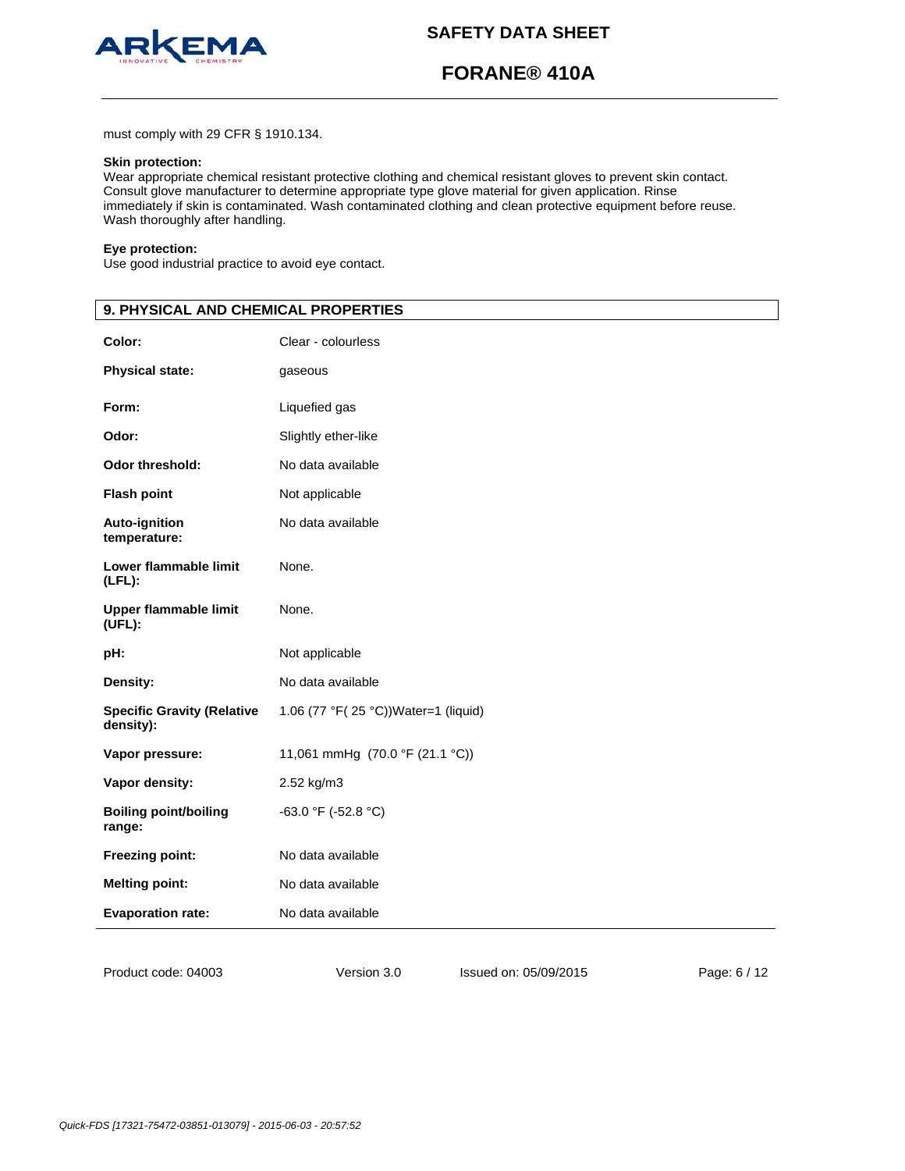

# **FORANE® 410A**

must comply with 29 CFR § 1910.134.

## **Skin protection:**

Wear appropriate chemical resistant protective clothing and chemical resistant gloves to prevent skin contact. Consult glove manufacturer to determine appropriate type glove material for given application. Rinse immediately if skin is contaminated. Wash contaminated clothing and clean protective equipment before reuse. Wash thoroughly after handling.

### **Eye protection:**

Use good industrial practice to avoid eye contact.

| 9. PHYSICAL AND CHEMICAL PROPERTIES            |                                     |
|------------------------------------------------|-------------------------------------|
| Color:                                         | Clear - colourless                  |
| <b>Physical state:</b>                         | gaseous                             |
| Form:                                          | Liquefied gas                       |
| Odor:                                          | Slightly ether-like                 |
| Odor threshold:                                | No data available                   |
| <b>Flash point</b>                             | Not applicable                      |
| Auto-ignition<br>temperature:                  | No data available                   |
| Lower flammable limit<br>$(LFL)$ :             | None.                               |
| <b>Upper flammable limit</b><br>$(UFL)$ :      | None.                               |
| pH:                                            | Not applicable                      |
| Density:                                       | No data available                   |
| <b>Specific Gravity (Relative</b><br>density): | 1.06 (77 °F(25 °C))Water=1 (liquid) |
| Vapor pressure:                                | 11,061 mmHg (70.0 °F (21.1 °C))     |
| Vapor density:                                 | 2.52 kg/m3                          |
| <b>Boiling point/boiling</b><br>range:         | -63.0 °F (-52.8 °C)                 |
| Freezing point:                                | No data available                   |
| <b>Melting point:</b>                          | No data available                   |
| <b>Evaporation rate:</b>                       | No data available                   |
|                                                |                                     |

Version 3.0 Issued on: 05/09/2015 Page: 6 / 12

Product code: 04003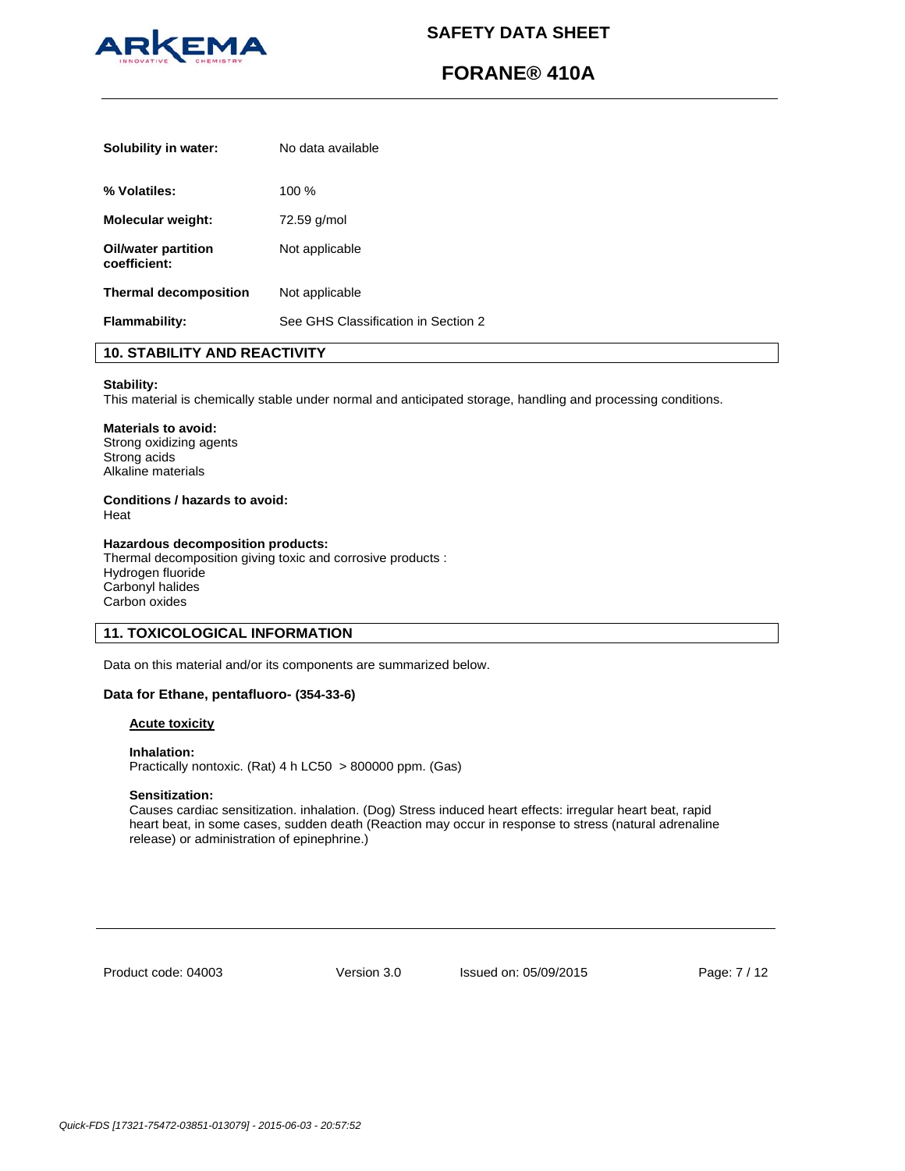

# **FORANE® 410A**

| Solubility in water:                | No data available                   |
|-------------------------------------|-------------------------------------|
| % Volatiles:                        | 100%                                |
| Molecular weight:                   | 72.59 g/mol                         |
| Oil/water partition<br>coefficient: | Not applicable                      |
| <b>Thermal decomposition</b>        | Not applicable                      |
| <b>Flammability:</b>                | See GHS Classification in Section 2 |

# **10. STABILITY AND REACTIVITY**

### **Stability:**

This material is chemically stable under normal and anticipated storage, handling and processing conditions.

# **Materials to avoid:**

Strong oxidizing agents Strong acids Alkaline materials

# **Conditions / hazards to avoid:**

Heat

## **Hazardous decomposition products:**

Thermal decomposition giving toxic and corrosive products : Hydrogen fluoride Carbonyl halides Carbon oxides

# **11. TOXICOLOGICAL INFORMATION**

Data on this material and/or its components are summarized below.

### **Data for Ethane, pentafluoro- (354-33-6)**

## **Acute toxicity**

**Inhalation:**  Practically nontoxic. (Rat) 4 h LC50 > 800000 ppm. (Gas)

## **Sensitization:**

Causes cardiac sensitization. inhalation. (Dog) Stress induced heart effects: irregular heart beat, rapid heart beat, in some cases, sudden death (Reaction may occur in response to stress (natural adrenaline release) or administration of epinephrine.)

Product code: 04003

Version 3.0 Issued on: 05/09/2015 Page: 7 / 12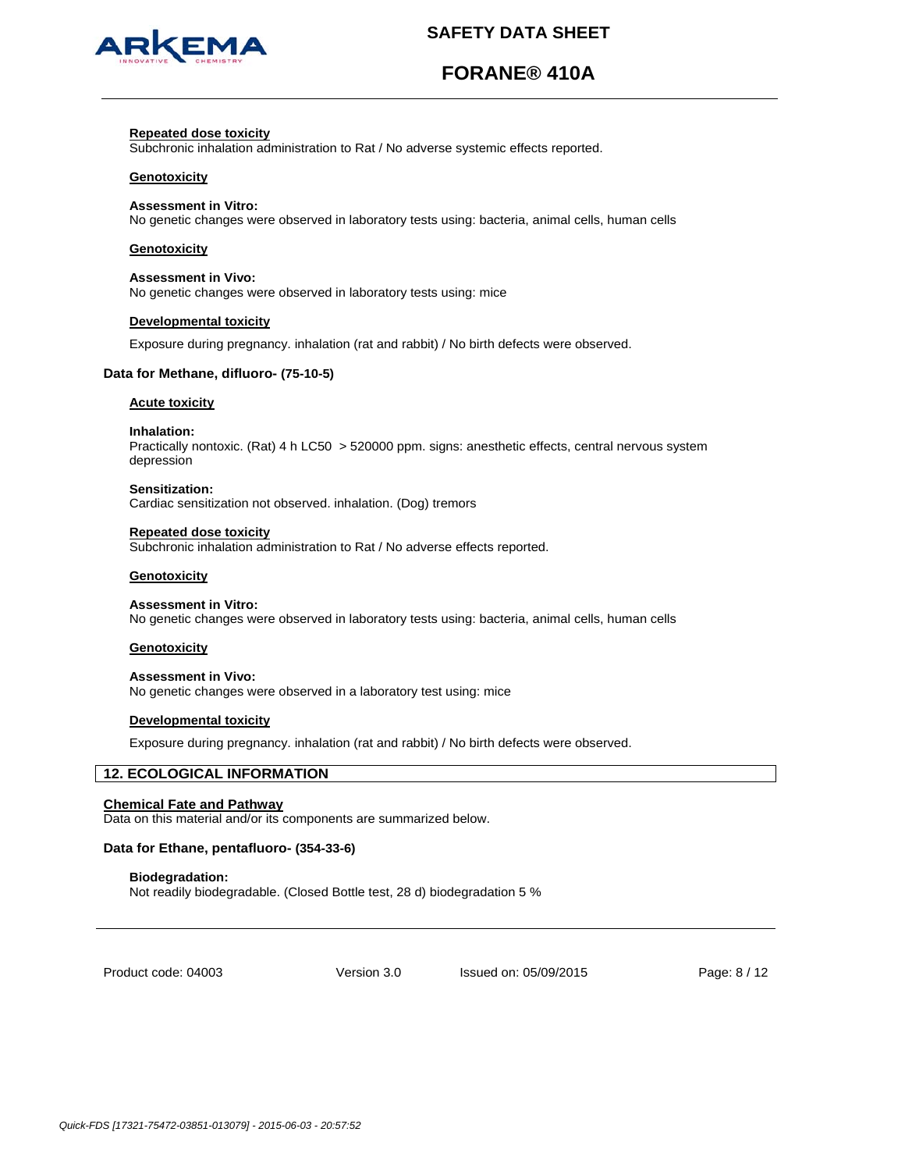

# **FORANE® 410A**

### **Repeated dose toxicity**

Subchronic inhalation administration to Rat / No adverse systemic effects reported.

### **Genotoxicity**

### **Assessment in Vitro:**

No genetic changes were observed in laboratory tests using: bacteria, animal cells, human cells

### **Genotoxicity**

### **Assessment in Vivo:**

No genetic changes were observed in laboratory tests using: mice

### **Developmental toxicity**

Exposure during pregnancy. inhalation (rat and rabbit) / No birth defects were observed.

### **Data for Methane, difluoro- (75-10-5)**

#### **Acute toxicity**

#### **Inhalation:**

Practically nontoxic. (Rat) 4 h LC50 > 520000 ppm. signs: anesthetic effects, central nervous system depression

#### **Sensitization:**

Cardiac sensitization not observed. inhalation. (Dog) tremors

#### **Repeated dose toxicity**

Subchronic inhalation administration to Rat / No adverse effects reported.

#### **Genotoxicity**

#### **Assessment in Vitro:**

No genetic changes were observed in laboratory tests using: bacteria, animal cells, human cells

#### **Genotoxicity**

#### **Assessment in Vivo:**

No genetic changes were observed in a laboratory test using: mice

#### **Developmental toxicity**

Exposure during pregnancy. inhalation (rat and rabbit) / No birth defects were observed.

# **12. ECOLOGICAL INFORMATION**

### **Chemical Fate and Pathway**

Data on this material and/or its components are summarized below.

## **Data for Ethane, pentafluoro- (354-33-6)**

### **Biodegradation:**

Not readily biodegradable. (Closed Bottle test, 28 d) biodegradation 5 %

Product code: 04003

Version 3.0 Issued on: 05/09/2015 Page: 8 / 12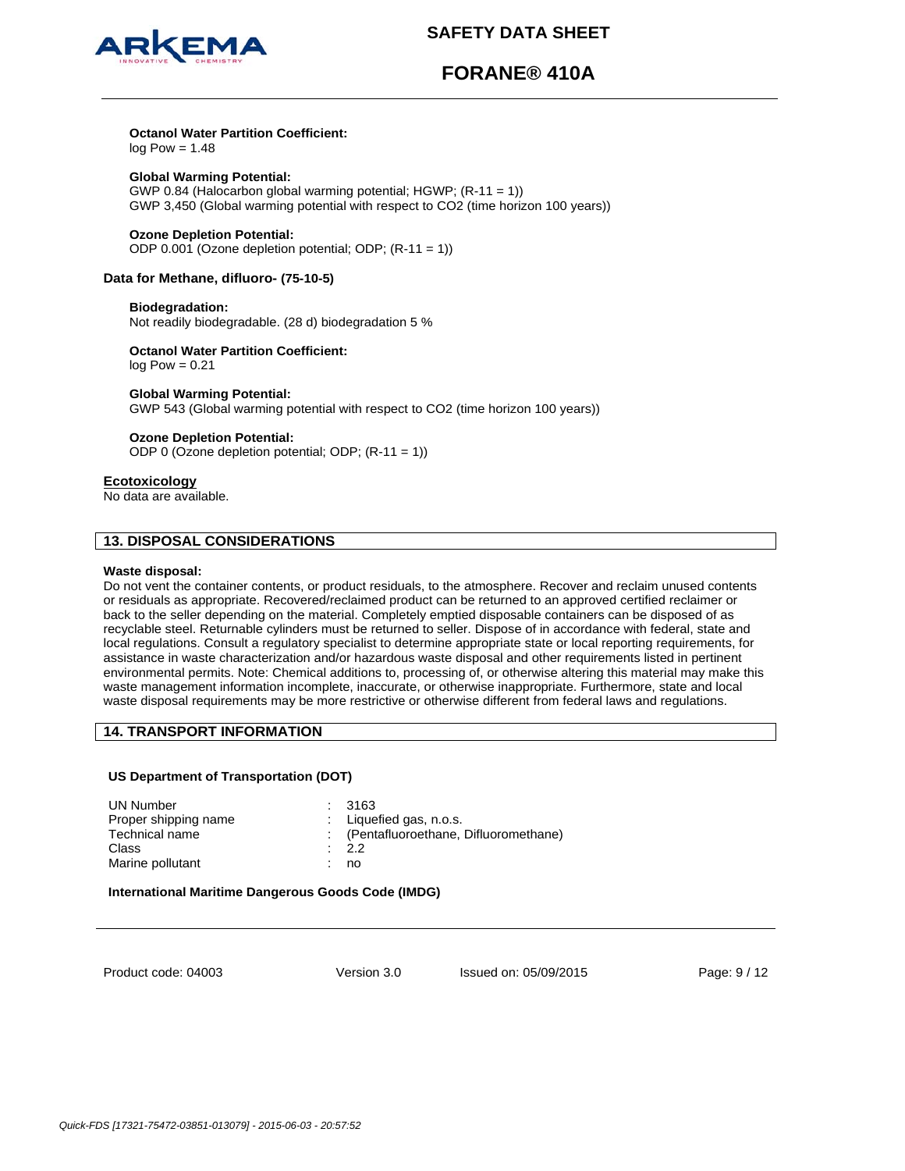

# **FORANE® 410A**

## **Octanol Water Partition Coefficient:**

 $log Pow = 1.48$ 

**Global Warming Potential:**  GWP 0.84 (Halocarbon global warming potential; HGWP; (R-11 = 1)) GWP 3,450 (Global warming potential with respect to CO2 (time horizon 100 years))

### **Ozone Depletion Potential:**

ODP 0.001 (Ozone depletion potential; ODP; (R-11 = 1))

## **Data for Methane, difluoro- (75-10-5)**

### **Biodegradation:**

Not readily biodegradable. (28 d) biodegradation 5 %

# **Octanol Water Partition Coefficient:**

 $log Pow = 0.21$ 

## **Global Warming Potential:**

GWP 543 (Global warming potential with respect to CO2 (time horizon 100 years))

## **Ozone Depletion Potential:**

ODP 0 (Ozone depletion potential; ODP; (R-11 = 1))

### **Ecotoxicology**

No data are available.

# **13. DISPOSAL CONSIDERATIONS**

### **Waste disposal:**

Do not vent the container contents, or product residuals, to the atmosphere. Recover and reclaim unused contents or residuals as appropriate. Recovered/reclaimed product can be returned to an approved certified reclaimer or back to the seller depending on the material. Completely emptied disposable containers can be disposed of as recyclable steel. Returnable cylinders must be returned to seller. Dispose of in accordance with federal, state and local regulations. Consult a regulatory specialist to determine appropriate state or local reporting requirements, for assistance in waste characterization and/or hazardous waste disposal and other requirements listed in pertinent environmental permits. Note: Chemical additions to, processing of, or otherwise altering this material may make this waste management information incomplete, inaccurate, or otherwise inappropriate. Furthermore, state and local waste disposal requirements may be more restrictive or otherwise different from federal laws and regulations.

## **14. TRANSPORT INFORMATION**

## **US Department of Transportation (DOT)**

| UN Number            | : 3163                                 |
|----------------------|----------------------------------------|
| Proper shipping name | : Liquefied gas, $n.o.s.$              |
| Technical name       | : (Pentafluoroethane, Difluoromethane) |
| Class                | $\cdot$ 2.2                            |
| Marine pollutant     | no                                     |
|                      |                                        |

### **International Maritime Dangerous Goods Code (IMDG)**

Product code: 04003

Version 3.0 Issued on: 05/09/2015 Page: 9 / 12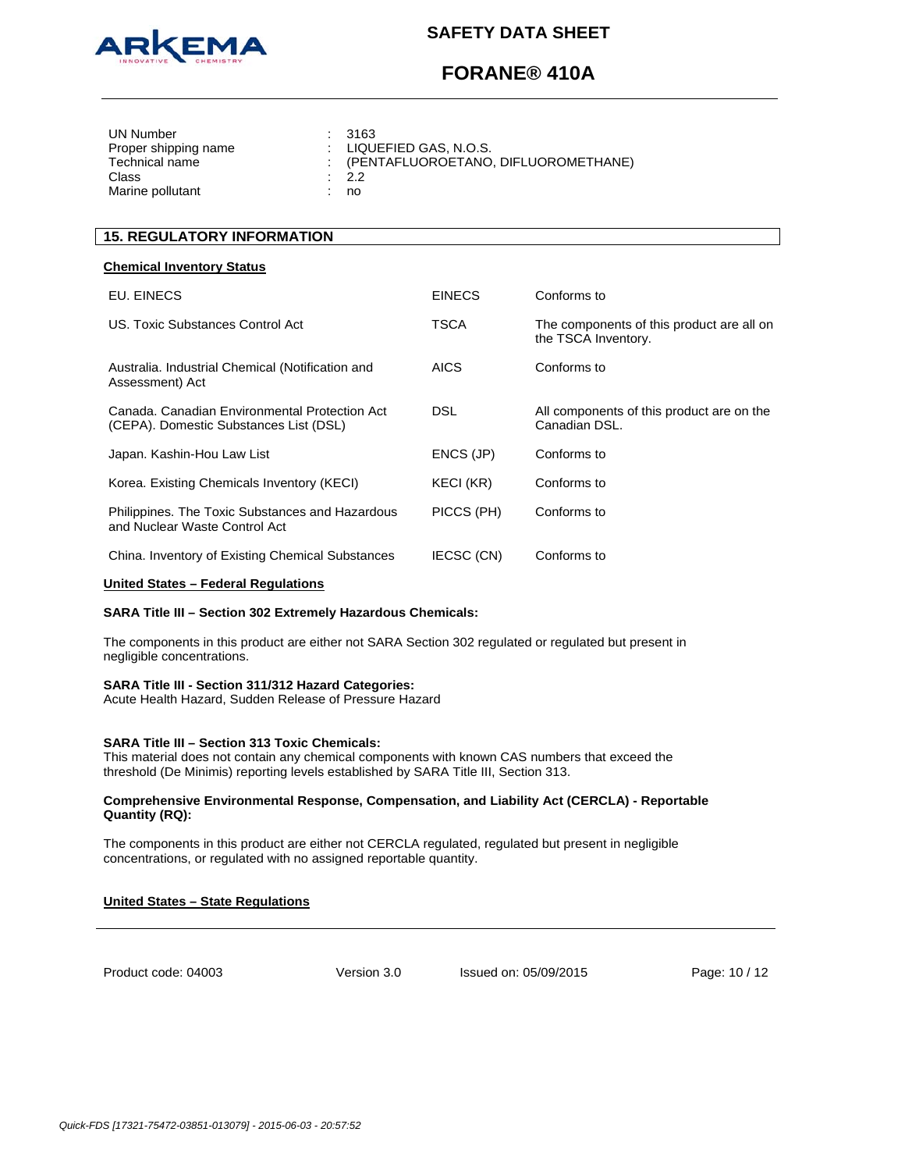

# **FORANE® 410A**

| UN Number<br>Proper shipping name<br>Technical name<br>Class<br>Marine pollutant |  | : 3163<br>$\pm$ LIQUEFIED GAS, N.O.S.<br>: (PENTAFLUOROETANO, DIFLUOROMETHANE)<br>$\therefore$ 2.2<br>no |
|----------------------------------------------------------------------------------|--|----------------------------------------------------------------------------------------------------------|
|----------------------------------------------------------------------------------|--|----------------------------------------------------------------------------------------------------------|

# **15. REGULATORY INFORMATION**

### **Chemical Inventory Status**

| EU. EINECS                                                                              | <b>EINECS</b> | Conforms to                                                      |
|-----------------------------------------------------------------------------------------|---------------|------------------------------------------------------------------|
| US. Toxic Substances Control Act                                                        | TSCA          | The components of this product are all on<br>the TSCA Inventory. |
| Australia. Industrial Chemical (Notification and<br>Assessment) Act                     | AICS          | Conforms to                                                      |
| Canada, Canadian Environmental Protection Act<br>(CEPA). Domestic Substances List (DSL) | DSL           | All components of this product are on the<br>Canadian DSL.       |
| Japan. Kashin-Hou Law List                                                              | ENCS (JP)     | Conforms to                                                      |
| Korea. Existing Chemicals Inventory (KECI)                                              | KECI (KR)     | Conforms to                                                      |
| Philippines. The Toxic Substances and Hazardous<br>and Nuclear Waste Control Act        | PICCS (PH)    | Conforms to                                                      |
| China. Inventory of Existing Chemical Substances                                        | IECSC (CN)    | Conforms to                                                      |

### **United States – Federal Regulations**

### **SARA Title III – Section 302 Extremely Hazardous Chemicals:**

The components in this product are either not SARA Section 302 regulated or regulated but present in negligible concentrations.

### **SARA Title III - Section 311/312 Hazard Categories:**

Acute Health Hazard, Sudden Release of Pressure Hazard

### **SARA Title III – Section 313 Toxic Chemicals:**

This material does not contain any chemical components with known CAS numbers that exceed the threshold (De Minimis) reporting levels established by SARA Title III, Section 313.

### **Comprehensive Environmental Response, Compensation, and Liability Act (CERCLA) - Reportable Quantity (RQ):**

The components in this product are either not CERCLA regulated, regulated but present in negligible concentrations, or regulated with no assigned reportable quantity.

### **United States – State Regulations**

Product code: 04003

Version 3.0 Issued on: 05/09/2015 Page: 10 / 12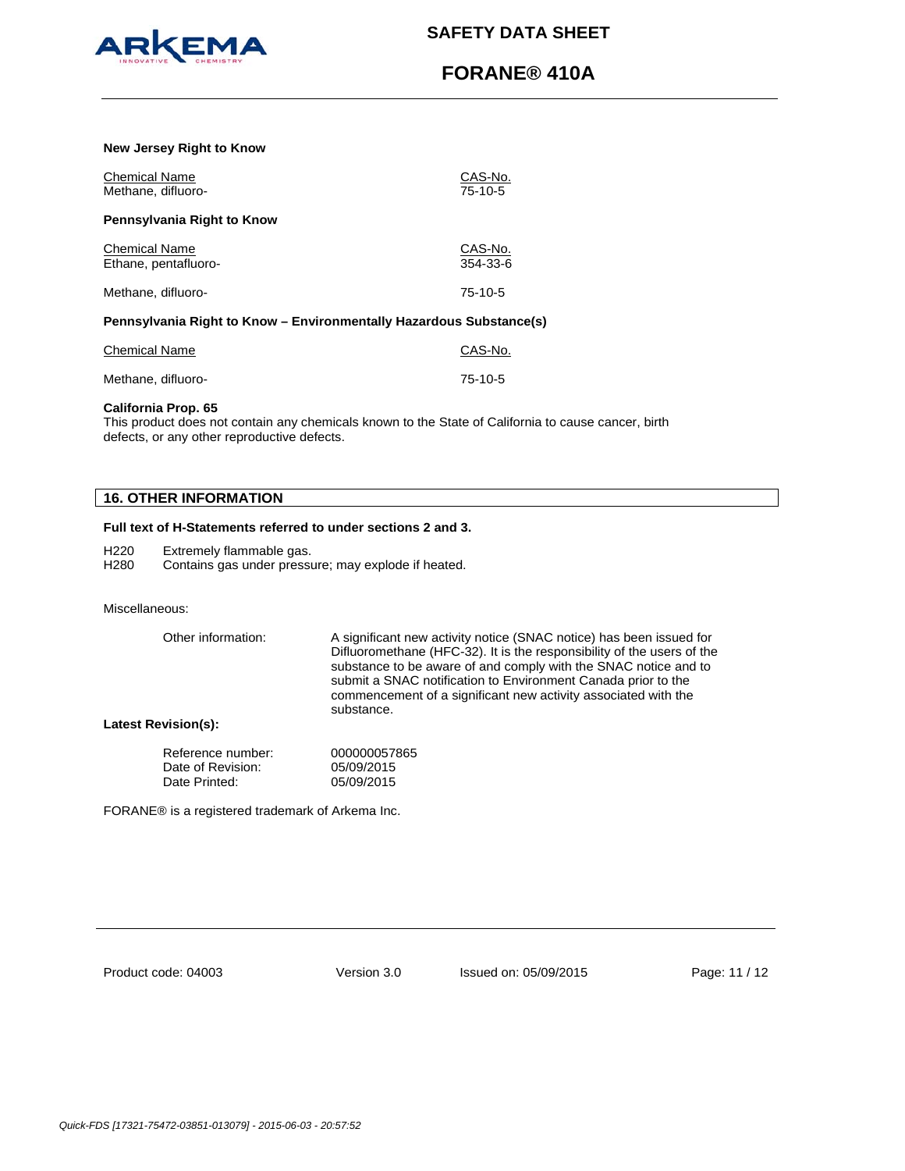

# **FORANE® 410A**

### **New Jersey Right to Know**

| <b>Chemical Name</b><br>Methane, difluoro-                          | CAS-No.<br>$75-10-5$      |
|---------------------------------------------------------------------|---------------------------|
| Pennsylvania Right to Know                                          |                           |
| <b>Chemical Name</b><br>Ethane, pentafluoro-                        | CAS-No.<br>$354 - 33 - 6$ |
| Methane, difluoro-                                                  | $75-10-5$                 |
| Pennsylvania Right to Know - Environmentally Hazardous Substance(s) |                           |

| Chemical Name      | CAS-No. |
|--------------------|---------|
| Methane, difluoro- | 75-10-5 |

### **California Prop. 65**

This product does not contain any chemicals known to the State of California to cause cancer, birth defects, or any other reproductive defects.

## **16. OTHER INFORMATION**

## **Full text of H-Statements referred to under sections 2 and 3.**

H220 Extremely flammable gas.

H280 Contains gas under pressure; may explode if heated.

### Miscellaneous:

| Other information: | A significant new activity notice (SNAC notice) has been issued for<br>Difluoromethane (HFC-32). It is the responsibility of the users of the<br>substance to be aware of and comply with the SNAC notice and to<br>submit a SNAC notification to Environment Canada prior to the<br>commencement of a significant new activity associated with the<br>substance. |
|--------------------|-------------------------------------------------------------------------------------------------------------------------------------------------------------------------------------------------------------------------------------------------------------------------------------------------------------------------------------------------------------------|
|--------------------|-------------------------------------------------------------------------------------------------------------------------------------------------------------------------------------------------------------------------------------------------------------------------------------------------------------------------------------------------------------------|

## **Latest Revision(s):**

| Reference number: | 000000057865 |
|-------------------|--------------|
| Date of Revision: | 05/09/2015   |
| Date Printed:     | 05/09/2015   |

FORANE® is a registered trademark of Arkema Inc.

Product code: 04003

Version 3.0 Issued on: 05/09/2015 Page: 11 / 12